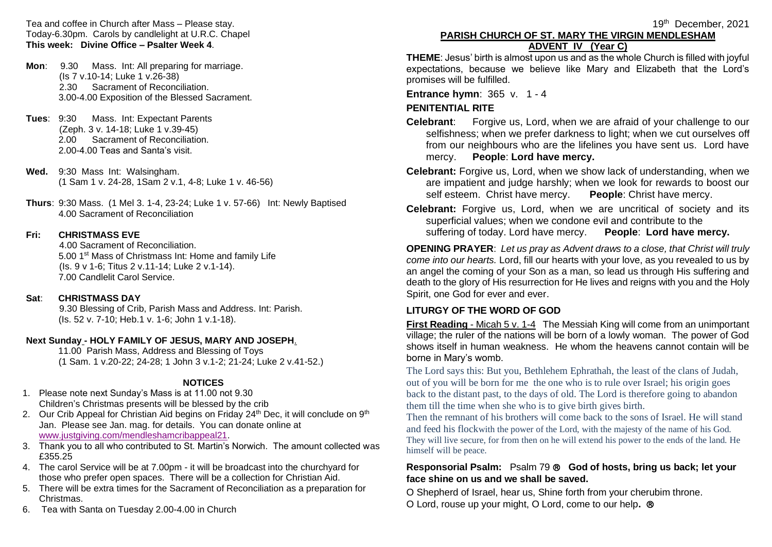Tea and coffee in Church after Mass – Please stay. Today-6.30pm. Carols by candlelight at U.R.C. Chapel **This week: Divine Office – Psalter Week 4**.

- **Mon**: 9.30 Mass. Int: All preparing for marriage. (Is 7 v.10-14; Luke 1 v.26-38) 2.30 Sacrament of Reconciliation. 3.00-4.00 Exposition of the Blessed Sacrament.
- **Tues**: 9:30 Mass. Int: Expectant Parents (Zeph. 3 v. 14-18; Luke 1 v.39-45) 2.00 Sacrament of Reconciliation. 2.00-4.00 Teas and Santa's visit.
- **Wed.** 9:30 Mass Int: Walsingham. (1 Sam 1 v. 24-28, 1Sam 2 v.1, 4-8; Luke 1 v. 46-56)
- **Thurs**: 9:30 Mass. (1 Mel 3. 1-4, 23-24; Luke 1 v. 57-66) Int: Newly Baptised 4.00 Sacrament of Reconciliation

### **Fri: CHRISTMASS EVE**

 4.00 Sacrament of Reconciliation. 5.00 1<sup>st</sup> Mass of Christmass Int: Home and family Life (Is. 9 v 1-6; Titus 2 v.11-14; Luke 2 v.1-14). 7.00 Candlelit Carol Service.

### **Sat**: **CHRISTMASS DAY**

 9.30 Blessing of Crib, Parish Mass and Address. Int: Parish. (Is. 52 v. 7-10; Heb.1 v. 1-6; John 1 v.1-18).

### **Next Sunday - HOLY FAMILY OF JESUS, MARY AND JOSEPH**.

11.00 Parish Mass, Address and Blessing of Toys (1 Sam. 1 v.20-22; 24-28; 1 John 3 v.1-2; 21-24; Luke 2 v.41-52.)

### **NOTICES**

- 1. Please note next Sunday's Mass is at 11.00 not 9.30 Children's Christmas presents will be blessed by the crib
- 2. Our Crib Appeal for Christian Aid begins on Friday  $24<sup>th</sup>$  Dec, it will conclude on  $9<sup>th</sup>$ Jan. Please see Jan. mag. for details. You can donate online at [www.justgiving.com/mendleshamcribappeal21.](http://www.justgiving.com/mendleshamcribappeal21)
- 3. Thank you to all who contributed to St. Martin's Norwich. The amount collected was £355.25
- 4. The carol Service will be at 7.00pm it will be broadcast into the churchyard for those who prefer open spaces. There will be a collection for Christian Aid.
- 5. There will be extra times for the Sacrament of Reconciliation as a preparation for Christmas.
- 6. Tea with Santa on Tuesday 2.00-4.00 in Church

# **PARISH CHURCH OF ST. MARY THE VIRGIN MENDLESHAM ADVENT IV (Year C)**

**THEME**: Jesus' birth is almost upon us and as the whole Church is filled with joyful expectations, because we believe like Mary and Elizabeth that the Lord's promises will be fulfilled.

**Entrance hymn: 365 v. 1 - 4** 

# **PENITENTIAL RITE**

- **Celebrant:** Forgive us, Lord, when we are afraid of your challenge to our selfishness; when we prefer darkness to light; when we cut ourselves off from our neighbours who are the lifelines you have sent us. Lord have mercy. **People**: **Lord have mercy.**
- **Celebrant:** Forgive us, Lord, when we show lack of understanding, when we are impatient and judge harshly; when we look for rewards to boost our self esteem. Christ have mercy. **People**: Christ have mercy.
- **Celebrant:** Forgive us, Lord, when we are uncritical of society and its superficial values; when we condone evil and contribute to the suffering of today. Lord have mercy. **People**: **Lord have mercy.**

**OPENING PRAYER**: *Let us pray as Advent draws to a close, that Christ will truly come into our hearts.* Lord, fill our hearts with your love, as you revealed to us by an angel the coming of your Son as a man, so lead us through His suffering and death to the glory of His resurrection for He lives and reigns with you and the Holy Spirit, one God for ever and ever.

# **LITURGY OF THE WORD OF GOD**

**First Reading** - Micah 5 v. 1-4 The Messiah King will come from an unimportant village; the ruler of the nations will be born of a lowly woman. The power of God shows itself in human weakness. He whom the heavens cannot contain will be borne in Mary's womb.

The Lord says this: But you, Bethlehem Ephrathah, the least of the clans of Judah, out of you will be born for me the one who is to rule over Israel; his origin goes back to the distant past, to the days of old. The Lord is therefore going to abandon them till the time when she who is to give birth gives birth.

Then the remnant of his brothers will come back to the sons of Israel. He will stand and feed his flockwith the power of the Lord, with the majesty of the name of his God. They will live secure, for from then on he will extend his power to the ends of the land. He himself will be peace.

### **Responsorial Psalm:** Psalm 79  **God of hosts, bring us back; let your face shine on us and we shall be saved.**

O Shepherd of Israel, hear us, Shine forth from your cherubim throne.

O Lord, rouse up your might, O Lord, come to our help**.**